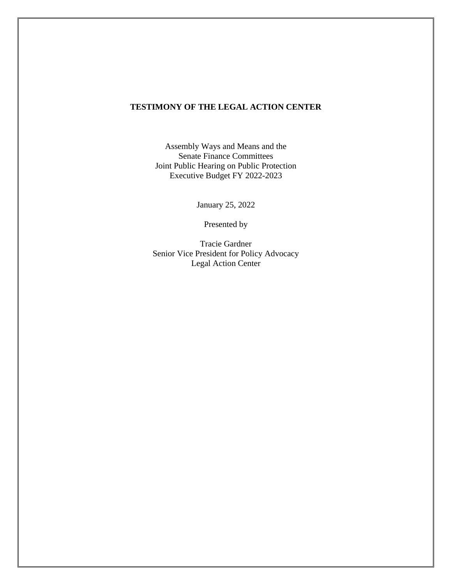## **TESTIMONY OF THE LEGAL ACTION CENTER**

Assembly Ways and Means and the Senate Finance Committees Joint Public Hearing on Public Protection Executive Budget FY 2022-2023

January 25, 2022

Presented by

Tracie Gardner Senior Vice President for Policy Advocacy Legal Action Center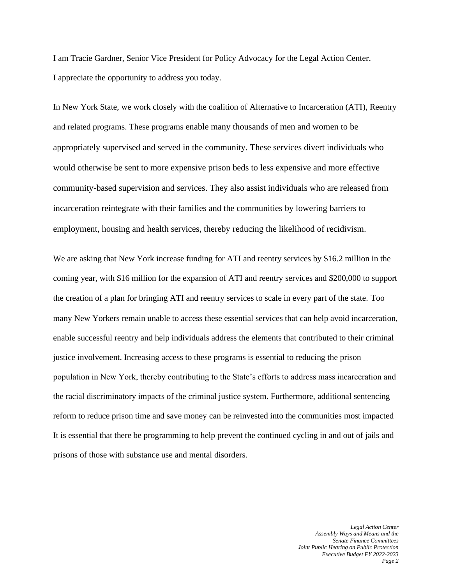I am Tracie Gardner, Senior Vice President for Policy Advocacy for the Legal Action Center. I appreciate the opportunity to address you today.

In New York State, we work closely with the coalition of Alternative to Incarceration (ATI), Reentry and related programs. These programs enable many thousands of men and women to be appropriately supervised and served in the community. These services divert individuals who would otherwise be sent to more expensive prison beds to less expensive and more effective community-based supervision and services. They also assist individuals who are released from incarceration reintegrate with their families and the communities by lowering barriers to employment, housing and health services, thereby reducing the likelihood of recidivism.

We are asking that New York increase funding for ATI and reentry services by \$16.2 million in the coming year, with \$16 million for the expansion of ATI and reentry services and \$200,000 to support the creation of a plan for bringing ATI and reentry services to scale in every part of the state. Too many New Yorkers remain unable to access these essential services that can help avoid incarceration, enable successful reentry and help individuals address the elements that contributed to their criminal justice involvement. Increasing access to these programs is essential to reducing the prison population in New York, thereby contributing to the State's efforts to address mass incarceration and the racial discriminatory impacts of the criminal justice system. Furthermore, additional sentencing reform to reduce prison time and save money can be reinvested into the communities most impacted It is essential that there be programming to help prevent the continued cycling in and out of jails and prisons of those with substance use and mental disorders.

> *Legal Action Center Assembly Ways and Means and the Senate Finance Committees Joint Public Hearing on Public Protection Executive Budget FY 2022-2023 Page 2*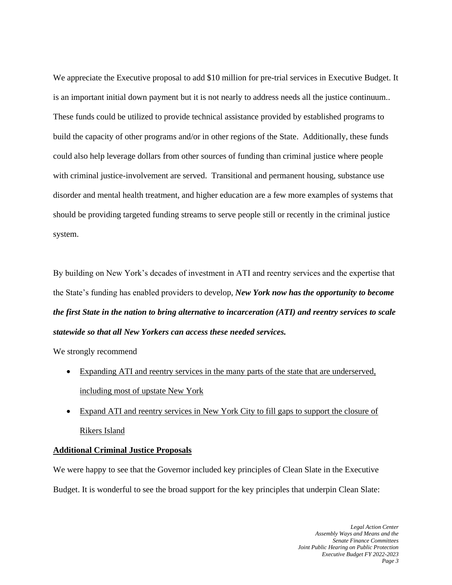We appreciate the Executive proposal to add \$10 million for pre-trial services in Executive Budget. It is an important initial down payment but it is not nearly to address needs all the justice continuum.. These funds could be utilized to provide technical assistance provided by established programs to build the capacity of other programs and/or in other regions of the State. Additionally, these funds could also help leverage dollars from other sources of funding than criminal justice where people with criminal justice-involvement are served. Transitional and permanent housing, substance use disorder and mental health treatment, and higher education are a few more examples of systems that should be providing targeted funding streams to serve people still or recently in the criminal justice system.

By building on New York's decades of investment in ATI and reentry services and the expertise that the State's funding has enabled providers to develop, *New York now has the opportunity to become the first State in the nation to bring alternative to incarceration (ATI) and reentry services to scale statewide so that all New Yorkers can access these needed services.*

We strongly recommend

- Expanding ATI and reentry services in the many parts of the state that are underserved, including most of upstate New York
- Expand ATI and reentry services in New York City to fill gaps to support the closure of Rikers Island

## **Additional Criminal Justice Proposals**

We were happy to see that the Governor included key principles of Clean Slate in the Executive Budget. It is wonderful to see the broad support for the key principles that underpin Clean Slate: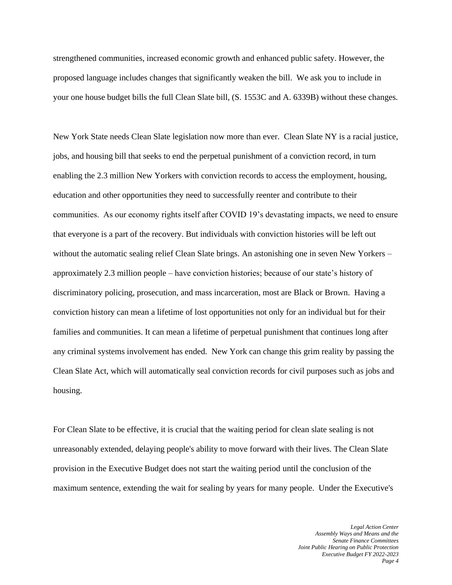strengthened communities, increased economic growth and enhanced public safety. However, the proposed language includes changes that significantly weaken the bill. We ask you to include in your one house budget bills the full Clean Slate bill, (S. 1553C and A. 6339B) without these changes.

New York State needs Clean Slate legislation now more than ever. Clean Slate NY is a racial justice, jobs, and housing bill that seeks to end the perpetual punishment of a conviction record, in turn enabling the 2.3 million New Yorkers with conviction records to access the employment, housing, education and other opportunities they need to successfully reenter and contribute to their communities. As our economy rights itself after COVID 19's devastating impacts, we need to ensure that everyone is a part of the recovery. But individuals with conviction histories will be left out without the automatic sealing relief Clean Slate brings. An astonishing one in seven New Yorkers – approximately 2.3 million people – have conviction histories; because of our state's history of discriminatory policing, prosecution, and mass incarceration, most are Black or Brown. Having a conviction history can mean a lifetime of lost opportunities not only for an individual but for their families and communities. It can mean a lifetime of perpetual punishment that continues long after any criminal systems involvement has ended. New York can change this grim reality by passing the Clean Slate Act, which will automatically seal conviction records for civil purposes such as jobs and housing.

For Clean Slate to be effective, it is crucial that the waiting period for clean slate sealing is not unreasonably extended, delaying people's ability to move forward with their lives. The Clean Slate provision in the Executive Budget does not start the waiting period until the conclusion of the maximum sentence, extending the wait for sealing by years for many people. Under the Executive's